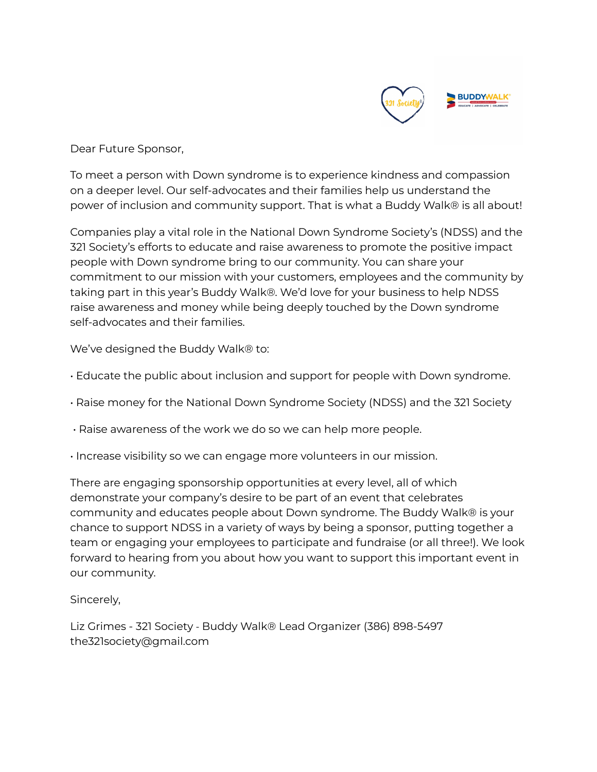

Dear Future Sponsor,

To meet a person with Down syndrome is to experience kindness and compassion on a deeper level. Our self-advocates and their families help us understand the power of inclusion and community support. That is what a Buddy Walk® is all about!

Companies play a vital role in the National Down Syndrome Society's (NDSS) and the 321 Society's efforts to educate and raise awareness to promote the positive impact people with Down syndrome bring to our community. You can share your commitment to our mission with your customers, employees and the community by taking part in this year's Buddy Walk®. We'd love for your business to help NDSS raise awareness and money while being deeply touched by the Down syndrome self-advocates and their families.

We've designed the Buddy Walk® to:

- Educate the public about inclusion and support for people with Down syndrome.
- Raise money for the National Down Syndrome Society (NDSS) and the 321 Society
- Raise awareness of the work we do so we can help more people.
- Increase visibility so we can engage more volunteers in our mission.

There are engaging sponsorship opportunities at every level, all of which demonstrate your company's desire to be part of an event that celebrates community and educates people about Down syndrome. The Buddy Walk® is your chance to support NDSS in a variety of ways by being a sponsor, putting together a team or engaging your employees to participate and fundraise (or all three!). We look forward to hearing from you about how you want to support this important event in our community.

Sincerely,

Liz Grimes - 321 Society - Buddy Walk® Lead Organizer (386) 898-5497 the321society@gmail.com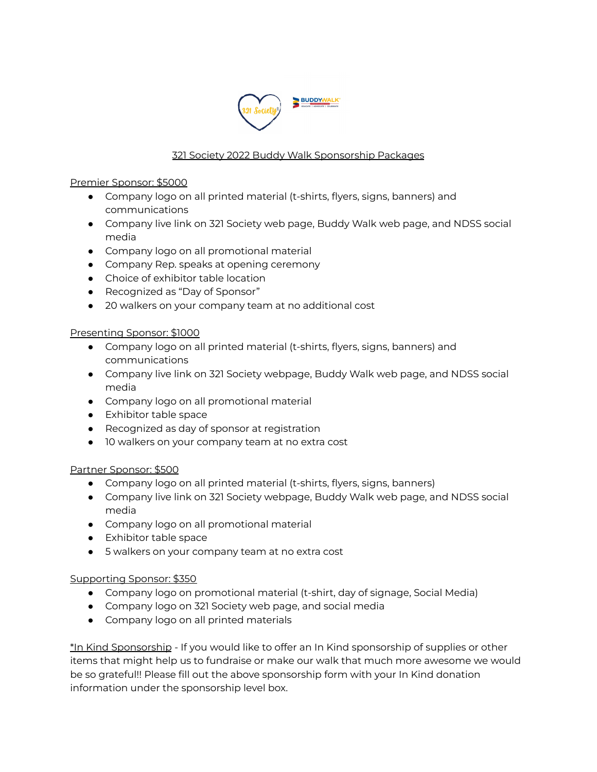

## 321 Society 2022 Buddy Walk Sponsorship Packages

### Premier Sponsor: \$5000

- Company logo on all printed material (t-shirts, flyers, signs, banners) and communications
- Company live link on 321 Society web page, Buddy Walk web page, and NDSS social media
- Company logo on all promotional material
- Company Rep. speaks at opening ceremony
- Choice of exhibitor table location
- Recognized as "Day of Sponsor"
- 20 walkers on your company team at no additional cost

### Presenting Sponsor: \$1000

- Company logo on all printed material (t-shirts, flyers, signs, banners) and communications
- Company live link on 321 Society webpage, Buddy Walk web page, and NDSS social media
- Company logo on all promotional material
- Exhibitor table space
- Recognized as day of sponsor at registration
- 10 walkers on your company team at no extra cost

## Partner Sponsor: \$500

- Company logo on all printed material (t-shirts, flyers, signs, banners)
- Company live link on 321 Society webpage, Buddy Walk web page, and NDSS social media
- Company logo on all promotional material
- Exhibitor table space
- 5 walkers on your company team at no extra cost

#### Supporting Sponsor: \$350

- Company logo on promotional material (t-shirt, day of signage, Social Media)
- Company logo on 321 Society web page, and social media
- Company logo on all printed materials

\*In Kind Sponsorship - If you would like to offer an In Kind sponsorship of supplies or other items that might help us to fundraise or make our walk that much more awesome we would be so grateful!! Please fill out the above sponsorship form with your In Kind donation information under the sponsorship level box.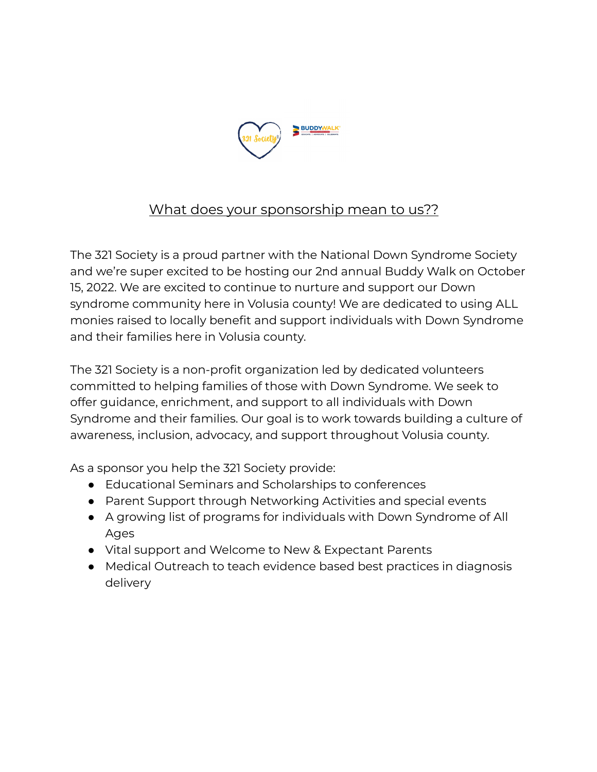

# What does your sponsorship mean to us??

The 321 Society is a proud partner with the National Down Syndrome Society and we're super excited to be hosting our 2nd annual Buddy Walk on October 15, 2022. We are excited to continue to nurture and support our Down syndrome community here in Volusia county! We are dedicated to using ALL monies raised to locally benefit and support individuals with Down Syndrome and their families here in Volusia county.

The 321 Society is a non-profit organization led by dedicated volunteers committed to helping families of those with Down Syndrome. We seek to offer guidance, enrichment, and support to all individuals with Down Syndrome and their families. Our goal is to work towards building a culture of awareness, inclusion, advocacy, and support throughout Volusia county.

As a sponsor you help the 321 Society provide:

- Educational Seminars and Scholarships to conferences
- Parent Support through Networking Activities and special events
- A growing list of programs for individuals with Down Syndrome of All Ages
- Vital support and Welcome to New & Expectant Parents
- Medical Outreach to teach evidence based best practices in diagnosis delivery